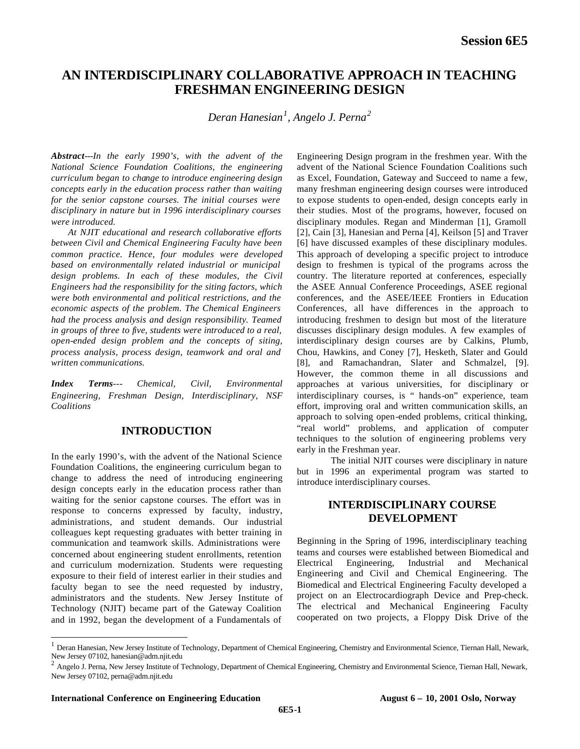# **AN INTERDISCIPLINARY COLLABORATIVE APPROACH IN TEACHING FRESHMAN ENGINEERING DESIGN**

*Deran Hanesian<sup>1</sup> , Angelo J. Perna<sup>2</sup>*

*Abstract---In the early 1990's, with the advent of the National Science Foundation Coalitions, the engineering curriculum began to change to introduce engineering design concepts early in the education process rather than waiting for the senior capstone courses. The initial courses were disciplinary in nature but in 1996 interdisciplinary courses were introduced.* 

*At NJIT educational and research collaborative efforts between Civil and Chemical Engineering Faculty have been common practice. Hence, four modules were developed based on environmentally related industrial or municipal design problems. In each of these modules, the Civil Engineers had the responsibility for the siting factors, which were both environmental and political restrictions, and the economic aspects of the problem. The Chemical Engineers had the process analysis and design responsibility. Teamed in groups of three to five, students were introduced to a real, open-ended design problem and the concepts of siting, process analysis, process design, teamwork and oral and written communications.*

*Index Terms--- Chemical, Civil, Environmental Engineering, Freshman Design, Interdisciplinary, NSF Coalitions* 

# **INTRODUCTION**

In the early 1990's, with the advent of the National Science Foundation Coalitions, the engineering curriculum began to change to address the need of introducing engineering design concepts early in the education process rather than waiting for the senior capstone courses. The effort was in response to concerns expressed by faculty, industry, administrations, and student demands. Our industrial colleagues kept requesting graduates with better training in communication and teamwork skills. Administrations were concerned about engineering student enrollments, retention and curriculum modernization. Students were requesting exposure to their field of interest earlier in their studies and faculty began to see the need requested by industry, administrators and the students. New Jersey Institute of Technology (NJIT) became part of the Gateway Coalition and in 1992, began the development of a Fundamentals of

Engineering Design program in the freshmen year. With the advent of the National Science Foundation Coalitions such as Excel, Foundation, Gateway and Succeed to name a few, many freshman engineering design courses were introduced to expose students to open-ended, design concepts early in their studies. Most of the programs, however, focused on disciplinary modules. Regan and Minderman [1], Gramoll [2], Cain [3], Hanesian and Perna [4], Keilson [5] and Traver [6] have discussed examples of these disciplinary modules. This approach of developing a specific project to introduce design to freshmen is typical of the programs across the country. The literature reported at conferences, especially the ASEE Annual Conference Proceedings, ASEE regional conferences, and the ASEE/IEEE Frontiers in Education Conferences, all have differences in the approach to introducing freshmen to design but most of the literature discusses disciplinary design modules. A few examples of interdisciplinary design courses are by Calkins, Plumb, Chou, Hawkins, and Coney [7], Hesketh, Slater and Gould [8], and Ramachandran, Slater and Schmalzel, [9]. However, the common theme in all discussions and approaches at various universities, for disciplinary or interdisciplinary courses, is " hands-on" experience, team effort, improving oral and written communication skills, an approach to solving open-ended problems, critical thinking, "real world" problems, and application of computer techniques to the solution of engineering problems very early in the Freshman year.

The initial NJIT courses were disciplinary in nature but in 1996 an experimental program was started to introduce interdisciplinary courses.

# **INTERDISCIPLINARY COURSE DEVELOPMENT**

Beginning in the Spring of 1996, interdisciplinary teaching teams and courses were established between Biomedical and Electrical Engineering, Industrial and Mechanical Engineering and Civil and Chemical Engineering. The Biomedical and Electrical Engineering Faculty developed a project on an Electrocardiograph Device and Prep-check. The electrical and Mechanical Engineering Faculty cooperated on two projects, a Floppy Disk Drive of the

l

<sup>1</sup> Deran Hanesian, New Jersey Institute of Technology, Department of Chemical Engineering, Chemistry and Environmental Science, Tiernan Hall, Newark, New Jersey 07102, hanesian@adm.njit.edu

<sup>2</sup> Angelo J. Perna, New Jersey Institute of Technology, Department of Chemical Engineering, Chemistry and Environmental Science, Tiernan Hall, Newark, New Jersey 07102, perna@adm.njit.edu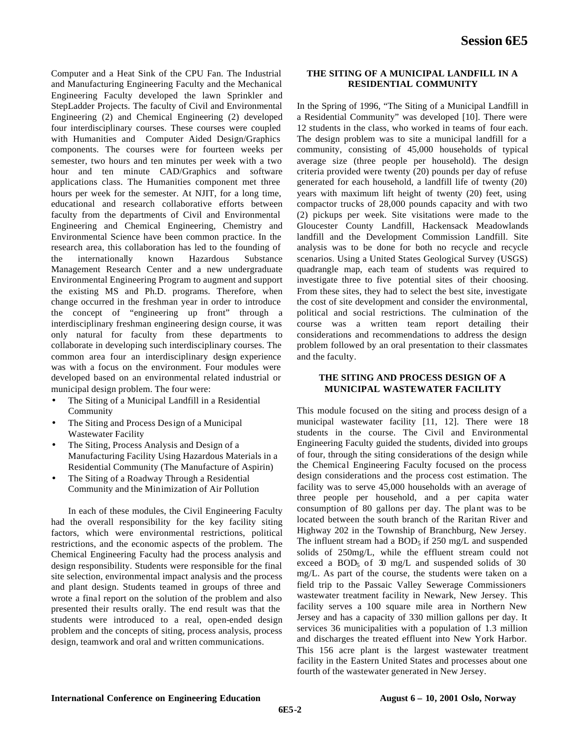Computer and a Heat Sink of the CPU Fan. The Industrial and Manufacturing Engineering Faculty and the Mechanical Engineering Faculty developed the lawn Sprinkler and StepLadder Projects. The faculty of Civil and Environmental Engineering (2) and Chemical Engineering (2) developed four interdisciplinary courses. These courses were coupled with Humanities and Computer Aided Design/Graphics components. The courses were for fourteen weeks per semester, two hours and ten minutes per week with a two hour and ten minute CAD/Graphics and software applications class. The Humanities component met three hours per week for the semester. At NJIT, for a long time, educational and research collaborative efforts between faculty from the departments of Civil and Environmental Engineering and Chemical Engineering, Chemistry and Environmental Science have been common practice. In the research area, this collaboration has led to the founding of the internationally known Hazardous Substance Management Research Center and a new undergraduate Environmental Engineering Program to augment and support the existing MS and Ph.D. programs. Therefore, when change occurred in the freshman year in order to introduce the concept of "engineering up front" through a interdisciplinary freshman engineering design course, it was only natural for faculty from these departments to collaborate in developing such interdisciplinary courses. The common area four an interdisciplinary design experience was with a focus on the environment. Four modules were developed based on an environmental related industrial or municipal design problem. The four were:

- The Siting of a Municipal Landfill in a Residential Community
- The Siting and Process Design of a Municipal Wastewater Facility
- The Siting, Process Analysis and Design of a Manufacturing Facility Using Hazardous Materials in a Residential Community (The Manufacture of Aspirin)
- The Siting of a Roadway Through a Residential Community and the Minimization of Air Pollution

In each of these modules, the Civil Engineering Faculty had the overall responsibility for the key facility siting factors, which were environmental restrictions, political restrictions, and the economic aspects of the problem. The Chemical Engineering Faculty had the process analysis and design responsibility. Students were responsible for the final site selection, environmental impact analysis and the process and plant design. Students teamed in groups of three and wrote a final report on the solution of the problem and also presented their results orally. The end result was that the students were introduced to a real, open-ended design problem and the concepts of siting, process analysis, process design, teamwork and oral and written communications.

#### **THE SITING OF A MUNICIPAL LANDFILL IN A RESIDENTIAL COMMUNITY**

In the Spring of 1996, "The Siting of a Municipal Landfill in a Residential Community" was developed [10]. There were 12 students in the class, who worked in teams of four each. The design problem was to site a municipal landfill for a community, consisting of 45,000 households of typical average size (three people per household). The design criteria provided were twenty (20) pounds per day of refuse generated for each household, a landfill life of twenty (20) years with maximum lift height of twenty (20) feet, using compactor trucks of 28,000 pounds capacity and with two (2) pickups per week. Site visitations were made to the Gloucester County Landfill, Hackensack Meadowlands landfill and the Development Commission Landfill. Site analysis was to be done for both no recycle and recycle scenarios. Using a United States Geological Survey (USGS) quadrangle map, each team of students was required to investigate three to five potential sites of their choosing. From these sites, they had to select the best site, investigate the cost of site development and consider the environmental, political and social restrictions. The culmination of the course was a written team report detailing their considerations and recommendations to address the design problem followed by an oral presentation to their classmates and the faculty.

## **THE SITING AND PROCESS DESIGN OF A MUNICIPAL WASTEWATER FACILITY**

This module focused on the siting and process design of a municipal wastewater facility [11, 12]. There were 18 students in the course. The Civil and Environmental Engineering Faculty guided the students, divided into groups of four, through the siting considerations of the design while the Chemical Engineering Faculty focused on the process design considerations and the process cost estimation. The facility was to serve 45,000 households with an average of three people per household, and a per capita water consumption of 80 gallons per day. The plant was to be located between the south branch of the Raritan River and Highway 202 in the Township of Branchburg, New Jersey. The influent stream had a  $BOD<sub>5</sub>$  if 250 mg/L and suspended solids of 250mg/L, while the effluent stream could not exceed a BOD<sub>5</sub> of  $\mathfrak{D}$  mg/L and suspended solids of 30 mg/L. As part of the course, the students were taken on a field trip to the Passaic Valley Sewerage Commissioners wastewater treatment facility in Newark, New Jersey. This facility serves a 100 square mile area in Northern New Jersey and has a capacity of 330 million gallons per day. It services 36 municipalities with a population of 1.3 million and discharges the treated effluent into New York Harbor. This 156 acre plant is the largest wastewater treatment facility in the Eastern United States and processes about one fourth of the wastewater generated in New Jersey.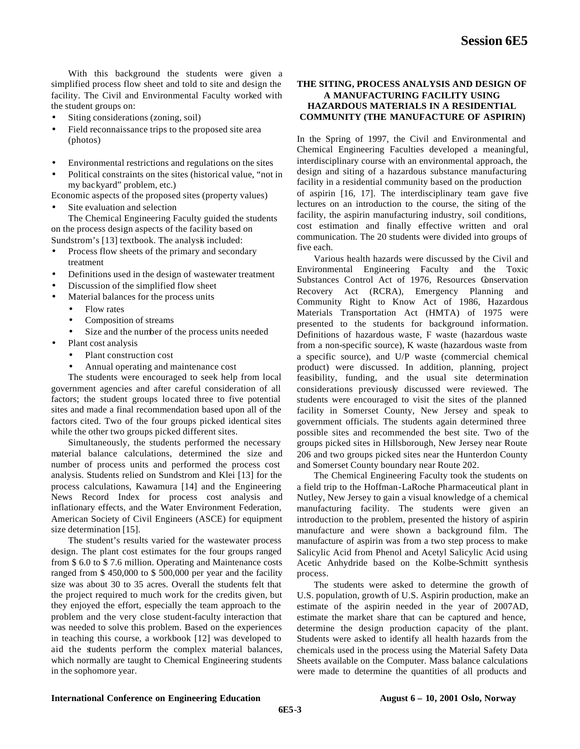With this background the students were given a simplified process flow sheet and told to site and design the facility. The Civil and Environmental Faculty worked with the student groups on:

- Siting considerations (zoning, soil)
- Field reconnaissance trips to the proposed site area (photos)
- Environmental restrictions and regulations on the sites
- Political constraints on the sites (historical value, "not in my backyard" problem, etc.)

Economic aspects of the proposed sites (property values)

Site evaluation and selection

The Chemical Engineering Faculty guided the students on the process design aspects of the facility based on Sundstrom's [13] textbook. The analysis included:

- Process flow sheets of the primary and secondary treatment
- Definitions used in the design of wastewater treatment
- Discussion of the simplified flow sheet
- Material balances for the process units
	- Flow rates
	- Composition of streams
	- Size and the number of the process units needed
- Plant cost analysis
	- Plant construction cost
	- Annual operating and maintenance cost

The students were encouraged to seek help from local government agencies and after careful consideration of all factors; the student groups located three to five potential sites and made a final recommendation based upon all of the factors cited. Two of the four groups picked identical sites while the other two groups picked different sites.

Simultaneously, the students performed the necessary material balance calculations, determined the size and number of process units and performed the process cost analysis. Students relied on Sundstrom and Klei [13] for the process calculations, Kawamura [14] and the Engineering News Record Index for process cost analysis and inflationary effects, and the Water Environment Federation, American Society of Civil Engineers (ASCE) for equipment size determination [15].

The student's results varied for the wastewater process design. The plant cost estimates for the four groups ranged from \$ 6.0 to \$ 7.6 million. Operating and Maintenance costs ranged from \$ 450,000 to \$ 500,000 per year and the facility size was about 30 to 35 acres. Overall the students felt that the project required to much work for the credits given, but they enjoyed the effort, especially the team approach to the problem and the very close student-faculty interaction that was needed to solve this problem. Based on the experiences in teaching this course, a workbook [12] was developed to aid the students perform the complex material balances, which normally are taught to Chemical Engineering students in the sophomore year.

## **THE SITING, PROCESS ANALYSIS AND DESIGN OF A MANUFACTURING FACILITY USING HAZARDOUS MATERIALS IN A RESIDENTIAL COMMUNITY (THE MANUFACTURE OF ASPIRIN)**

In the Spring of 1997, the Civil and Environmental and Chemical Engineering Faculties developed a meaningful, interdisciplinary course with an environmental approach, the design and siting of a hazardous substance manufacturing facility in a residential community based on the production of aspirin [16, 17]. The interdisciplinary team gave five lectures on an introduction to the course, the siting of the facility, the aspirin manufacturing industry, soil conditions, cost estimation and finally effective written and oral communication. The 20 students were divided into groups of five each.

Various health hazards were discussed by the Civil and Environmental Engineering Faculty and the Toxic Substances Control Act of 1976, Resources Conservation Recovery Act (RCRA), Emergency Planning and Community Right to Know Act of 1986, Hazardous Materials Transportation Act (HMTA) of 1975 were presented to the students for background information. Definitions of hazardous waste, F waste (hazardous waste from a non-specific source), K waste (hazardous waste from a specific source), and U/P waste (commercial chemical product) were discussed. In addition, planning, project feasibility, funding, and the usual site determination considerations previously discussed were reviewed. The students were encouraged to visit the sites of the planned facility in Somerset County, New Jersey and speak to government officials. The students again determined three possible sites and recommended the best site. Two of the groups picked sites in Hillsborough, New Jersey near Route 206 and two groups picked sites near the Hunterdon County and Somerset County boundary near Route 202.

The Chemical Engineering Faculty took the students on a field trip to the Hoffman-LaRoche Pharmaceutical plant in Nutley, New Jersey to gain a visual knowledge of a chemical manufacturing facility. The students were given an introduction to the problem, presented the history of aspirin manufacture and were shown a background film. The manufacture of aspirin was from a two step process to make Salicylic Acid from Phenol and Acetyl Salicylic Acid using Acetic Anhydride based on the Kolbe-Schmitt synthesis process.

The students were asked to determine the growth of U.S. population, growth of U.S. Aspirin production, make an estimate of the aspirin needed in the year of 2007AD, estimate the market share that can be captured and hence, determine the design production capacity of the plant. Students were asked to identify all health hazards from the chemicals used in the process using the Material Safety Data Sheets available on the Computer. Mass balance calculations were made to determine the quantities of all products and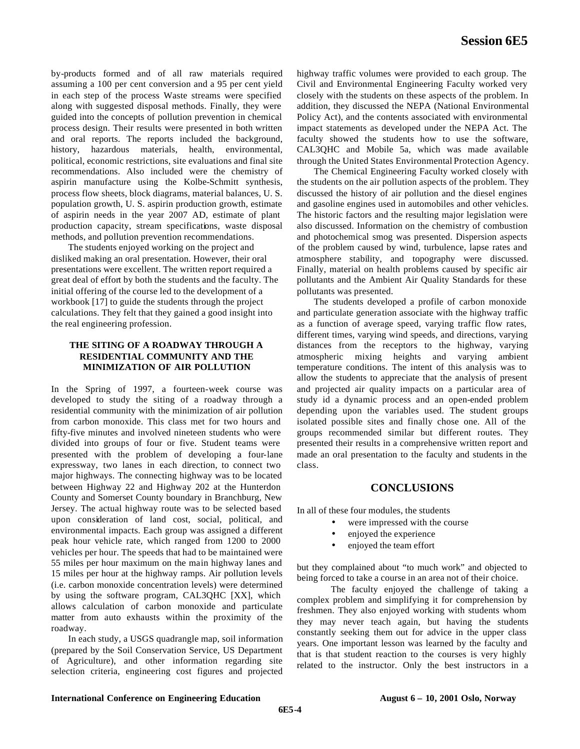by-products formed and of all raw materials required assuming a 100 per cent conversion and a 95 per cent yield in each step of the process Waste streams were specified along with suggested disposal methods. Finally, they were guided into the concepts of pollution prevention in chemical process design. Their results were presented in both written and oral reports. The reports included the background, history, hazardous materials, health, environmental, political, economic restrictions, site evaluations and final site recommendations. Also included were the chemistry of aspirin manufacture using the Kolbe-Schmitt synthesis, process flow sheets, block diagrams, material balances, U. S. population growth, U. S. aspirin production growth, estimate of aspirin needs in the year 2007 AD, estimate of plant production capacity, stream specifications, waste disposal methods, and pollution prevention recommendations.

The students enjoyed working on the project and disliked making an oral presentation. However, their oral presentations were excellent. The written report required a great deal of effort by both the students and the faculty. The initial offering of the course led to the development of a workbook [17] to guide the students through the project calculations. They felt that they gained a good insight into the real engineering profession.

# **THE SITING OF A ROADWAY THROUGH A RESIDENTIAL COMMUNITY AND THE MINIMIZATION OF AIR POLLUTION**

In the Spring of 1997, a fourteen-week course was developed to study the siting of a roadway through a residential community with the minimization of air pollution from carbon monoxide. This class met for two hours and fifty-five minutes and involved nineteen students who were divided into groups of four or five. Student teams were presented with the problem of developing a four-lane expressway, two lanes in each direction, to connect two major highways. The connecting highway was to be located between Highway 22 and Highway 202 at the Hunterdon County and Somerset County boundary in Branchburg, New Jersey. The actual highway route was to be selected based upon consideration of land cost, social, political, and environmental impacts. Each group was assigned a different peak hour vehicle rate, which ranged from 1200 to 2000 vehicles per hour. The speeds that had to be maintained were 55 miles per hour maximum on the main highway lanes and 15 miles per hour at the highway ramps. Air pollution levels (i.e. carbon monoxide concentration levels) were determined by using the software program, CAL3QHC [XX], which allows calculation of carbon monoxide and particulate matter from auto exhausts within the proximity of the roadway.

In each study, a USGS quadrangle map, soil information (prepared by the Soil Conservation Service, US Department of Agriculture), and other information regarding site selection criteria, engineering cost figures and projected highway traffic volumes were provided to each group. The Civil and Environmental Engineering Faculty worked very closely with the students on these aspects of the problem. In addition, they discussed the NEPA (National Environmental Policy Act), and the contents associated with environmental impact statements as developed under the NEPA Act. The faculty showed the students how to use the software, CAL3QHC and Mobile 5a, which was made available through the United States Environmental Protection Agency.

The Chemical Engineering Faculty worked closely with the students on the air pollution aspects of the problem. They discussed the history of air pollution and the diesel engines and gasoline engines used in automobiles and other vehicles. The historic factors and the resulting major legislation were also discussed. Information on the chemistry of combustion and photochemical smog was presented. Dispersion aspects of the problem caused by wind, turbulence, lapse rates and atmosphere stability, and topography were discussed. Finally, material on health problems caused by specific air pollutants and the Ambient Air Quality Standards for these pollutants was presented.

The students developed a profile of carbon monoxide and particulate generation associate with the highway traffic as a function of average speed, varying traffic flow rates, different times, varying wind speeds, and directions, varying distances from the receptors to the highway, varying atmospheric mixing heights and varying ambient temperature conditions. The intent of this analysis was to allow the students to appreciate that the analysis of present and projected air quality impacts on a particular area of study id a dynamic process and an open-ended problem depending upon the variables used. The student groups isolated possible sites and finally chose one. All of the groups recommended similar but different routes. They presented their results in a comprehensive written report and made an oral presentation to the faculty and students in the class.

## **CONCLUSIONS**

In all of these four modules, the students

- were impressed with the course
- enjoyed the experience
- enjoyed the team effort

but they complained about "to much work" and objected to being forced to take a course in an area not of their choice.

The faculty enjoyed the challenge of taking a complex problem and simplifying it for comprehension by freshmen. They also enjoyed working with students whom they may never teach again, but having the students constantly seeking them out for advice in the upper class years. One important lesson was learned by the faculty and that is that student reaction to the courses is very highly related to the instructor. Only the best instructors in a